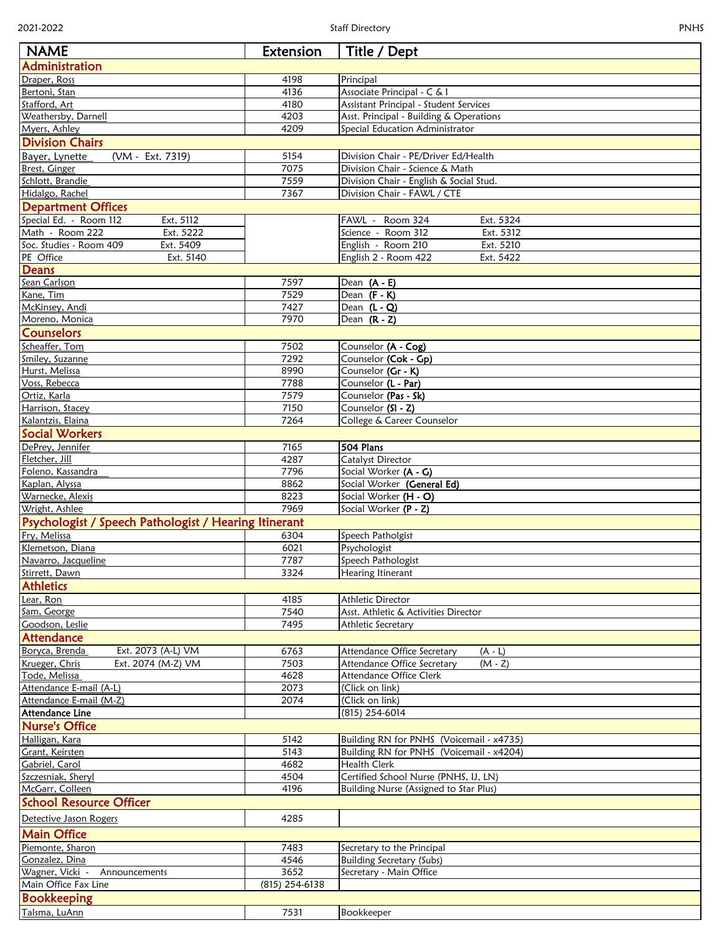| ٠ |  |
|---|--|
|---|--|

| <b>NAME</b>                                           | Extension      | Title / Dept                              |
|-------------------------------------------------------|----------------|-------------------------------------------|
| Administration                                        |                |                                           |
| Draper, Ross                                          | 4198           | Principal                                 |
| Bertoni, Stan                                         | 4136           | Associate Principal - C & I               |
| Stafford, Art                                         | 4180           | Assistant Principal - Student Services    |
| Weathersby, Darnell                                   | 4203           | Asst. Principal - Building & Operations   |
| Myers, Ashley                                         | 4209           | Special Education Administrator           |
| <b>Division Chairs</b>                                |                |                                           |
| (VM - Ext. 7319)<br>Bayer, Lynette                    | 5154           | Division Chair - PE/Driver Ed/Health      |
| Brest, Ginger                                         | 7075           | Division Chair - Science & Math           |
| Schlott, Brandie                                      | 7559           | Division Chair - English & Social Stud.   |
| Hidalgo, Rachel                                       | 7367           | Division Chair - FAWL / CTE               |
| <b>Department Offices</b>                             |                |                                           |
| Special Ed. - Room 112<br>Ext, 5112                   |                | Ext. 5324<br>FAWL - Room 324              |
| Math - Room 222<br>Ext. 5222                          |                | Science - Room 312<br>Ext. 5312           |
| Soc. Studies - Room 409<br>Ext. 5409                  |                | English - Room 210<br>Ext. 5210           |
| PE Office<br>Ext. 5140                                |                | English 2 - Room 422<br>Ext. 5422         |
| Deans                                                 |                |                                           |
| Sean Carlson                                          | 7597           | Dean $(A - E)$                            |
| Kane, Tim                                             | 7529           | Dean $(F - K)$                            |
| McKinsey, Andi                                        | 7427           | Dean $(L - Q)$                            |
| Moreno, Monica                                        | 7970           | Dean $(R - Z)$                            |
| <b>Counselors</b>                                     |                |                                           |
| Scheaffer, Tom                                        | 7502           | Counselor (A - Cog)                       |
| Smiley, Suzanne                                       | 7292<br>8990   | Counselor (Cok - Gp)                      |
| Hurst, Melissa<br>Voss, Rebecca                       | 7788           | Counselor (Gr - K)<br>Counselor (L - Par) |
| Ortiz, Karla                                          | 7579           | Counselor (Pas - Sk)                      |
| Harrison, Stacey                                      | 7150           | Counselor (SI - Z)                        |
| Kalantzis, Elaina                                     | 7264           | College & Career Counselor                |
| <b>Social Workers</b>                                 |                |                                           |
| DePrey, Jennifer                                      | 7165           | 504 Plans                                 |
| Fletcher, Jill                                        | 4287           | Catalyst Director                         |
| Foleno, Kassandra                                     | 7796           | Social Worker (A - G)                     |
| Kaplan, Alyssa                                        | 8862           | Social Worker (General Ed)                |
| Warnecke, Alexis                                      | 8223           | Social Worker (H - O)                     |
| Wright, Ashlee                                        | 7969           | Social Worker (P - Z)                     |
| Psychologist / Speech Pathologist / Hearing Itinerant |                |                                           |
| Fry, Melissa                                          | 6304           | Speech Patholgist                         |
| Klemetson, Diana                                      | 6021           | Psychologist                              |
| Navarro, Jacqueline                                   | 7787           | Speech Pathologist                        |
| Stirrett, Dawn                                        | 3324           | Hearing Itinerant                         |
| <b>Athletics</b>                                      |                |                                           |
| Lear, Ron                                             | 4185           | Athletic Director                         |
| Sam, George                                           | 7540           | Asst. Athletic & Activities Director      |
| Goodson, Leslie                                       | 7495           | Athletic Secretary                        |
| Attendance                                            |                |                                           |
| Ext. 2073 (A-L) VM<br>Boryca, Brenda                  | 6763           | $(A - L)$<br>Attendance Office Secretary  |
| Krueger, Chris<br>Ext. 2074 (M-Z) VM                  | 7503           | Attendance Office Secretary<br>$(M - Z)$  |
| Tode, Melissa                                         | 4628           | Attendance Office Clerk                   |
| Attendance E-mail (A-L)                               | 2073           | (Click on link)                           |
| Attendance E-mail (M-Z)                               | 2074           | (Click on link)                           |
| Attendance Line                                       |                | (815) 254-6014                            |
| <b>Nurse's Office</b>                                 |                |                                           |
| Halligan, Kara                                        | 5142           | Building RN for PNHS (Voicemail - x4735)  |
| Grant, Keirsten                                       | 5143           | Building RN for PNHS (Voicemail - x4204)  |
| Gabriel, Carol                                        | 4682           | <b>Health Clerk</b>                       |
| Szczesniak, Sheryl                                    | 4504           | Certified School Nurse (PNHS, IJ, LN)     |
| McGarr, Colleen                                       | 4196           | Building Nurse (Assigned to Star Plus)    |
| <b>School Resource Officer</b>                        |                |                                           |
| Detective Jason Rogers                                | 4285           |                                           |
| <b>Main Office</b>                                    |                |                                           |
| Piemonte, Sharon                                      | 7483           | Secretary to the Principal                |
| Gonzalez, Dina                                        | 4546           | <b>Building Secretary (Subs)</b>          |
| Wagner, Vicki -<br>Announcements                      | 3652           | Secretary - Main Office                   |
| Main Office Fax Line                                  | (815) 254-6138 |                                           |
| <b>Bookkeeping</b>                                    |                |                                           |
| Talsma, LuAnn                                         | 7531           | Bookkeeper                                |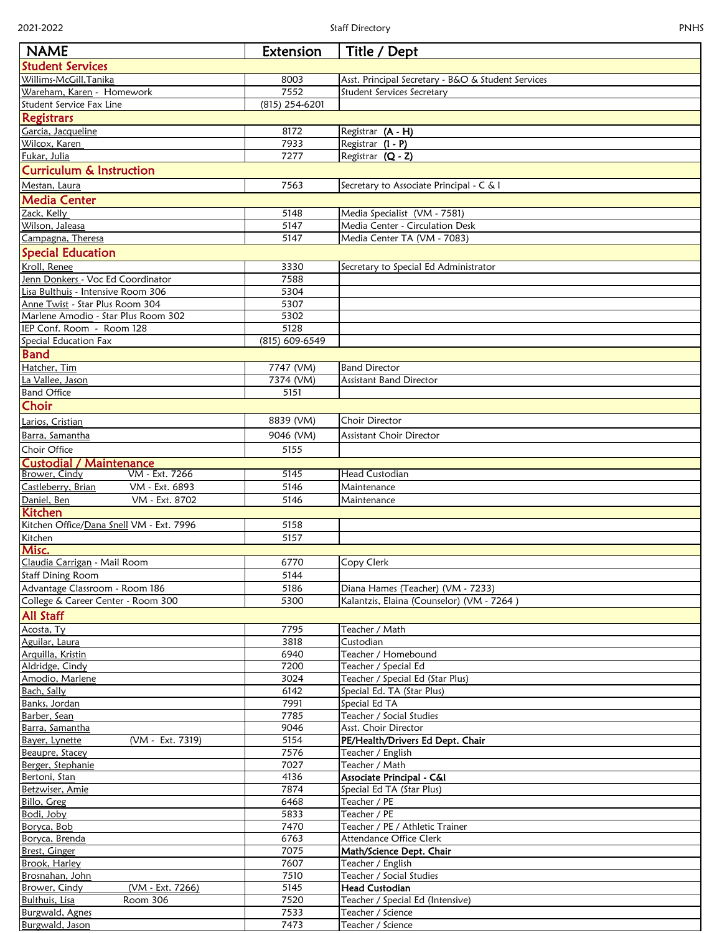| <b>PNHS</b><br>2021-2022<br><b>Staff Directory</b>                       |                   |                                                                |  |
|--------------------------------------------------------------------------|-------------------|----------------------------------------------------------------|--|
| <b>NAME</b>                                                              | Extension         | Title / Dept                                                   |  |
| <b>Student Services</b>                                                  |                   |                                                                |  |
| Willims-McGill, Tanika                                                   | 8003              | Asst. Principal Secretary - B&O & Student Services             |  |
| Wareham, Karen - Homework                                                | 7552              | <b>Student Services Secretary</b>                              |  |
| Student Service Fax Line                                                 | (815) 254-6201    |                                                                |  |
| Registrars                                                               |                   |                                                                |  |
| Garcia, Jacqueline                                                       | 8172              | Registrar (A - H)                                              |  |
| <u>Wilcox, Karen</u>                                                     | 7933              | Registrar (I - P)                                              |  |
| Fukar, Julia                                                             | 7277              | Registrar (Q - Z)                                              |  |
| <b>Curriculum &amp; Instruction</b>                                      |                   |                                                                |  |
| Mestan, Laura                                                            | 7563              | Secretary to Associate Principal - C & I                       |  |
| <b>Media Center</b>                                                      |                   |                                                                |  |
| Zack, Kelly                                                              | 5148              | Media Specialist (VM - 7581)                                   |  |
| Wilson, Jaleasa                                                          | 5147              | <b>Media Center - Circulation Desk</b>                         |  |
| Campagna, Theresa                                                        | 5147              | Media Center TA (VM - 7083)                                    |  |
| <b>Special Education</b>                                                 |                   |                                                                |  |
| Kroll, Renee                                                             | 3330              | Secretary to Special Ed Administrator                          |  |
| Jenn Donkers - Voc Ed Coordinator                                        | 7588              |                                                                |  |
| Lisa Bulthuis - Intensive Room 306                                       | 5304              |                                                                |  |
| Anne Twist - Star Plus Room 304                                          | 5307              |                                                                |  |
| Marlene Amodio - Star Plus Room 302                                      | 5302              |                                                                |  |
| IEP Conf. Room - Room 128                                                | 5128              |                                                                |  |
| Special Education Fax                                                    | (815) 609-6549    |                                                                |  |
| <b>Band</b>                                                              |                   |                                                                |  |
| Hatcher, Tim<br>La Vallee, Jason                                         | 7747 (VM)         | <b>Band Director</b><br><b>Assistant Band Director</b>         |  |
| <b>Band Office</b>                                                       | 7374 (VM)<br>5151 |                                                                |  |
| Choir                                                                    |                   |                                                                |  |
|                                                                          |                   |                                                                |  |
| Larios, Cristian                                                         | 8839 (VM)         | <b>Choir Director</b>                                          |  |
| Barra, Samantha                                                          | 9046 (VM)         | <b>Assistant Choir Director</b>                                |  |
| <b>Choir Office</b>                                                      | 5155              |                                                                |  |
| <b>Custodial / Maintenance</b><br>VM - Ext. 7266<br><b>Brower, Cindy</b> | 5145              | <b>Head Custodian</b>                                          |  |
| Castleberry, Brian<br>VM - Ext. 6893                                     | 5146              | Maintenance                                                    |  |
| VM - Ext. 8702<br>Daniel, Ben                                            | 5146              | Maintenance                                                    |  |
| <b>Kitchen</b>                                                           |                   |                                                                |  |
| Kitchen Office/Dana Snell VM - Ext. 7996                                 | 5158              |                                                                |  |
| Kitchen                                                                  | 5157              |                                                                |  |
| Misc.                                                                    |                   |                                                                |  |
| Claudia Carrigan - Mail Room                                             | 6770              | Copy Clerk                                                     |  |
| <b>Staff Dining Room</b>                                                 | 5144              |                                                                |  |
| Advantage Classroom - Room 186                                           | 5186              | Diana Hames (Teacher) (VM - 7233)                              |  |
| College & Career Center - Room 300                                       | 5300              | Kalantzis, Elaina (Counselor) (VM - 7264)                      |  |
| <b>All Staff</b>                                                         |                   |                                                                |  |
| Acosta, Ty                                                               | 7795              | Teacher / Math                                                 |  |
| Aguilar, Laura                                                           | 3818              | Custodian                                                      |  |
| Arquilla, Kristin                                                        | 6940              | Teacher / Homebound                                            |  |
| Aldridge, Cindy                                                          | 7200              | Teacher / Special Ed                                           |  |
| Amodio, Marlene<br>Bach, Sally                                           | 3024<br>6142      | Teacher / Special Ed (Star Plus)<br>Special Ed. TA (Star Plus) |  |
| Banks, Jordan                                                            | 7991              | Special Ed TA                                                  |  |
| Barber, Sean                                                             | 7785              | Teacher / Social Studies                                       |  |
| Barra, Samantha                                                          | 9046              | Asst. Choir Director                                           |  |
| Bayer, Lynette<br>(VM - Ext. 7319)                                       | 5154              | PE/Health/Drivers Ed Dept. Chair                               |  |
| Beaupre, Stacey                                                          | 7576              | Teacher / English                                              |  |
| Berger, Stephanie                                                        | 7027              | Teacher / Math                                                 |  |
| Bertoni, Stan                                                            | 4136              | Associate Principal - C&I                                      |  |
| Betzwiser, Amie                                                          | 7874              | Special Ed TA (Star Plus)                                      |  |
| Billo, Greg                                                              | 6468              | Teacher / PE                                                   |  |
| Bodi, Joby                                                               | 5833              | Teacher / PE                                                   |  |
| Boryca, Bob                                                              | 7470              | Teacher / PE / Athletic Trainer                                |  |
| Boryca, Brenda<br>Brest, Ginger                                          | 6763<br>7075      | <b>Attendance Office Clerk</b>                                 |  |
| Brook, Harley                                                            | 7607              | Math/Science Dept. Chair<br>Teacher / English                  |  |
| Brosnahan, John                                                          | 7510              | Teacher / Social Studies                                       |  |
| (VM - Ext. 7266)<br>Brower, Cindy                                        | 5145              | <b>Head Custodian</b>                                          |  |
| Bulthuis, Lisa<br><b>Room 306</b>                                        | 7520              | Teacher / Special Ed (Intensive)                               |  |
| Burgwald, Agnes                                                          | 7533              | Teacher / Science                                              |  |
| Burgwald, Jason                                                          | 7473              | Teacher / Science                                              |  |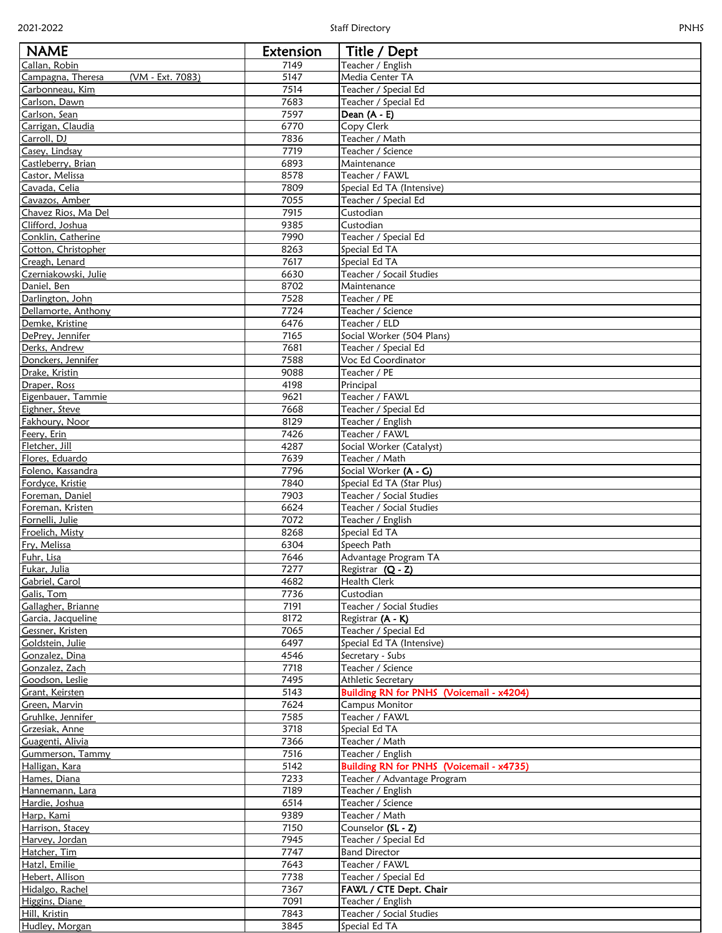| ×. |  |
|----|--|

| <b>NAME</b>                             | Extension    | Title / Dept                                                      |
|-----------------------------------------|--------------|-------------------------------------------------------------------|
| Callan, Robin                           | 7149         | Teacher / English                                                 |
| Campagna, Theresa<br>(VM - Ext. 7083)   | 5147         | Media Center TA                                                   |
| Carbonneau, Kim<br>Carlson, Dawn        | 7514<br>7683 | Teacher / Special Ed<br>Teacher / Special Ed                      |
| Carlson, Sean                           | 7597         | Dean $(A - E)$                                                    |
| Carrigan, Claudia                       | 6770         | Copy Clerk                                                        |
| Carroll, DJ                             | 7836         | Teacher / Math                                                    |
| Casey, Lindsay                          | 7719         | Teacher / Science                                                 |
| Castleberry, Brian                      | 6893         | Maintenance                                                       |
| Castor, Melissa                         | 8578         | Teacher / FAWL                                                    |
| Cavada, Celia<br>Cavazos, Amber         | 7809<br>7055 | Special Ed TA (Intensive)<br>Teacher / Special Ed                 |
| Chavez Rios, Ma Del                     | 7915         | Custodian                                                         |
| Clifford, Joshua                        | 9385         | Custodian                                                         |
| Conklin, Catherine                      | 7990         | Teacher / Special Ed                                              |
| Cotton, Christopher                     | 8263         | Special Ed TA                                                     |
| Creagh, Lenard                          | 7617         | Special Ed TA                                                     |
| Czerniakowski, Julie                    | 6630         | Teacher / Socail Studies                                          |
| Daniel, Ben                             | 8702<br>7528 | Maintenance<br>Teacher / PE                                       |
| Darlington, John<br>Dellamorte, Anthony | 7724         | Teacher / Science                                                 |
| Demke, Kristine                         | 6476         | Teacher / ELD                                                     |
| DePrey, Jennifer                        | 7165         | Social Worker (504 Plans)                                         |
| Derks, Andrew                           | 7681         | Teacher / Special Ed                                              |
| Donckers, Jennifer                      | 7588         | Voc Ed Coordinator                                                |
| Drake, Kristin                          | 9088         | Teacher / PE                                                      |
| Draper, Ross                            | 4198         | Principal                                                         |
| Eigenbauer, Tammie<br>Eighner, Steve    | 9621<br>7668 | Teacher / FAWL<br>Teacher / Special Ed                            |
| Fakhoury, Noor                          | 8129         | Teacher / English                                                 |
| Feery, Erin                             | 7426         | Teacher / FAWL                                                    |
| Fletcher, Jill                          | 4287         | Social Worker (Catalyst)                                          |
| Flores, Eduardo                         | 7639         | Teacher / Math                                                    |
| Foleno, Kassandra                       | 7796         | Social Worker (A - G)                                             |
| Fordyce, Kristie                        | 7840         | Special Ed TA (Star Plus)                                         |
| Foreman, Daniel<br>Foreman, Kristen     | 7903<br>6624 | Teacher / Social Studies<br>Teacher / Social Studies              |
| Fornelli, Julie                         | 7072         | Teacher / English                                                 |
| Froelich, Misty                         | 8268         | Special Ed TA                                                     |
| Fry, Melissa                            | 6304         | Speech Path                                                       |
| Fuhr, Lisa                              | 7646         | Advantage Program TA                                              |
| Fukar, Julia                            | 7277         | Registrar (Q - Z)                                                 |
| <b>Gabriel</b> , Carol                  | 4682         | <b>Health Clerk</b>                                               |
| Galis, Tom<br>Gallagher, Brianne        | 7736<br>7191 | Custodian<br>Teacher / Social Studies                             |
| Garcia, Jacqueline                      | 8172         | Registrar (A - K)                                                 |
| Gessner, Kristen                        | 7065         | Teacher / Special Ed                                              |
| Goldstein, Julie                        | 6497         | Special Ed TA (Intensive)                                         |
| <b>Gonzalez</b> , Dina                  | 4546         | Secretary - Subs                                                  |
| Gonzalez, Zach                          | 7718         | Teacher / Science                                                 |
| Goodson, Leslie                         | 7495<br>5143 | Athletic Secretary                                                |
| Grant, Keirsten<br>Green, Marvin        | 7624         | Building RN for PNHS (Voicemail - x4204)<br><b>Campus Monitor</b> |
| Gruhlke, Jennifer                       | 7585         | Teacher / FAWL                                                    |
| Grzesiak, Anne                          | 3718         | Special Ed TA                                                     |
| Guagenti, Alivia                        | 7366         | Teacher / Math                                                    |
| Gummerson, Tammy                        | 7516         | Teacher / English                                                 |
| Halligan, Kara                          | 5142         | Building RN for PNHS (Voicemail - x4735)                          |
| Hames, Diana                            | 7233         | Teacher / Advantage Program                                       |
| Hannemann, Lara<br>Hardie, Joshua       | 7189<br>6514 | Teacher / English<br>Teacher / Science                            |
| Harp, Kami                              | 9389         | Teacher / Math                                                    |
| Harrison, Stacey                        | 7150         | Counselor (SL - Z)                                                |
| Harvey, Jordan                          | 7945         | Teacher / Special Ed                                              |
| Hatcher, Tim                            | 7747         | <b>Band Director</b>                                              |
| Hatzl, Emilie                           | 7643         | Teacher / FAWL                                                    |
| Hebert, Allison                         | 7738         | Teacher / Special Ed                                              |
| Hidalgo, Rachel                         | 7367         | FAWL / CTE Dept. Chair                                            |
| Higgins, Diane<br>Hill, Kristin         | 7091<br>7843 | Teacher / English<br>Teacher / Social Studies                     |
| Hudley, Morgan                          | 3845         | Special Ed TA                                                     |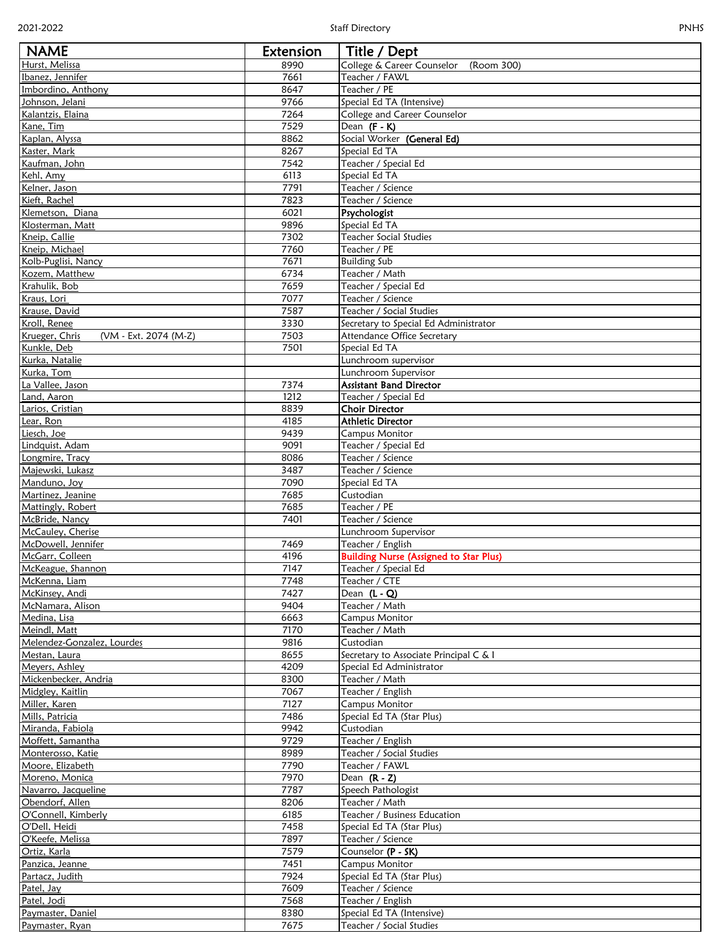| ٠ |  |
|---|--|
|---|--|

| <b>NAME</b>                                            | Extension    | Title / Dept                                       |
|--------------------------------------------------------|--------------|----------------------------------------------------|
| Hurst, Melissa                                         | 8990         | College & Career Counselor<br>(Room 300)           |
| Ibanez, Jennifer                                       | 7661<br>8647 | Teacher / FAWL<br>Teacher / PE                     |
| Imbordino, Anthony<br>Johnson, Jelani                  | 9766         | Special Ed TA (Intensive)                          |
| Kalantzis, Elaina                                      | 7264         | College and Career Counselor                       |
| Kane, Tim                                              | 7529         | Dean $(F - K)$                                     |
| Kaplan, Alyssa                                         | 8862         | Social Worker (General Ed)                         |
| Kaster, Mark                                           | 8267         | Special Ed TA                                      |
| Kaufman, John<br>Kehl, Amy                             | 7542<br>6113 | Teacher / Special Ed<br>Special Ed TA              |
| Kelner, Jason                                          | 7791         | Teacher / Science                                  |
| Kieft, Rachel                                          | 7823         | Teacher / Science                                  |
| Klemetson, Diana                                       | 6021         | Psychologist                                       |
| Klosterman, Matt                                       | 9896         | Special Ed TA                                      |
| Kneip, Callie                                          | 7302         | <b>Teacher Social Studies</b>                      |
| Kneip, Michael<br>Kolb-Puglisi, Nancy                  | 7760<br>7671 | Teacher / PE<br><b>Building Sub</b>                |
| Kozem, Matthew                                         | 6734         | Teacher / Math                                     |
| Krahulik, Bob                                          | 7659         | Teacher / Special Ed                               |
| Kraus, Lori                                            | 7077         | Teacher / Science                                  |
| Krause, David                                          | 7587         | Teacher / Social Studies                           |
| Kroll, Renee                                           | 3330         | Secretary to Special Ed Administrator              |
| Krueger, Chris<br>(VM - Ext. 2074 (M-Z)<br>Kunkle, Deb | 7503<br>7501 | Attendance Office Secretary<br>Special Ed TA       |
| Kurka, Natalie                                         |              | Lunchroom supervisor                               |
| Kurka, Tom                                             |              | Lunchroom Supervisor                               |
| La Vallee, Jason                                       | 7374         | <b>Assistant Band Director</b>                     |
| Land, Aaron                                            | 1212         | Teacher / Special Ed                               |
| Larios, Cristian                                       | 8839         | <b>Choir Director</b>                              |
| Lear, Ron<br>Liesch, Joe                               | 4185<br>9439 | <b>Athletic Director</b><br><b>Campus Monitor</b>  |
| Lindquist, Adam                                        | 9091         | Teacher / Special Ed                               |
| Longmire, Tracy                                        | 8086         | Teacher / Science                                  |
| Majewski, Lukasz                                       | 3487         | Teacher / Science                                  |
| Manduno, Joy                                           | 7090         | Special Ed TA                                      |
| Martinez, Jeanine                                      | 7685         | Custodian                                          |
| Mattingly, Robert                                      | 7685         | Teacher / PE                                       |
| McBride, Nancy<br>McCauley, Cherise                    | 7401         | Teacher / Science<br>Lunchroom Supervisor          |
| McDowell, Jennifer                                     | 7469         | Teacher / English                                  |
| McGarr, Colleen                                        | 4196         | <b>Building Nurse (Assigned to Star Plus)</b>      |
| McKeague, Shannon                                      | 7147         | Teacher / Special Ed                               |
| McKenna, Liam                                          | 7748         | Teacher / CTE                                      |
| McKinsey, Andi<br>McNamara, Alison                     | 7427<br>9404 | Dean $(L - Q)$<br>Teacher / Math                   |
| Medina, Lisa                                           | 6663         | <b>Campus Monitor</b>                              |
| Meindl, Matt                                           | 7170         | Teacher / Math                                     |
| Melendez-Gonzalez, Lourdes                             | 9816         | Custodian                                          |
| Mestan, Laura                                          | 8655         | Secretary to Associate Principal C & I             |
| Meyers, Ashley                                         | 4209         | Special Ed Administrator                           |
| Mickenbecker, Andria<br>Midgley, Kaitlin               | 8300<br>7067 | Teacher / Math<br>Teacher / English                |
| Miller, Karen                                          | 7127         | <b>Campus Monitor</b>                              |
| Mills, Patricia                                        | 7486         | Special Ed TA (Star Plus)                          |
| Miranda, Fabiola                                       | 9942         | Custodian                                          |
| Moffett, Samantha                                      | 9729         | Teacher / English                                  |
| Monterosso, Katie                                      | 8989         | Teacher / Social Studies                           |
| Moore, Elizabeth                                       | 7790<br>7970 | Teacher / FAWL                                     |
| Moreno, Monica<br>Navarro, Jacqueline                  | 7787         | Dean $(R - Z)$<br>Speech Pathologist               |
| Obendorf, Allen                                        | 8206         | Teacher / Math                                     |
| O'Connell, Kimberly                                    | 6185         | Teacher / Business Education                       |
| O'Dell, Heidi                                          | 7458         | Special Ed TA (Star Plus)                          |
| O'Keefe, Melissa                                       | 7897         | Teacher / Science                                  |
| Ortiz, Karla                                           | 7579         | Counselor (P - SK)                                 |
| Panzica, Jeanne<br>Partacz, Judith                     | 7451<br>7924 | <b>Campus Monitor</b><br>Special Ed TA (Star Plus) |
| Patel, Jay                                             | 7609         | Teacher / Science                                  |
| Patel, Jodi                                            | 7568         | Teacher / English                                  |
| Paymaster, Daniel                                      | 8380         | Special Ed TA (Intensive)                          |
| Paymaster, Ryan                                        | 7675         | Teacher / Social Studies                           |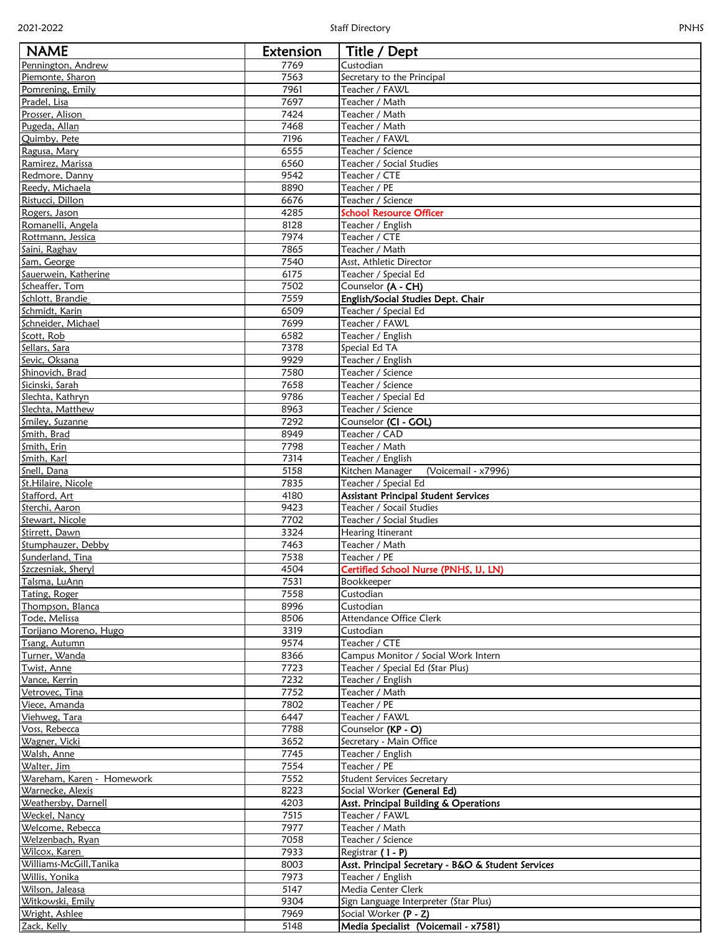| ×. |  |
|----|--|
|----|--|

| <b>NAME</b>                        | Extension    | Title / Dept                                                   |
|------------------------------------|--------------|----------------------------------------------------------------|
| Pennington, Andrew                 | 7769         | Custodian                                                      |
| Piemonte, Sharon                   | 7563         | Secretary to the Principal                                     |
| Pomrening, Emily                   | 7961         | Teacher / FAWL                                                 |
| Pradel, Lisa                       | 7697         | Teacher / Math                                                 |
| Prosser, Alison                    | 7424         | Teacher / Math                                                 |
| Pugeda, Allan                      | 7468         | Teacher / Math                                                 |
| Quimby, Pete                       | 7196         | Teacher / FAWL                                                 |
| Ragusa, Mary                       | 6555<br>6560 | Teacher / Science                                              |
| Ramirez, Marissa<br>Redmore, Danny | 9542         | Teacher / Social Studies<br>Teacher / CTE                      |
| Reedy, Michaela                    | 8890         | Teacher / PE                                                   |
| Ristucci, Dillon                   | 6676         | Teacher / Science                                              |
| Rogers, Jason                      | 4285         | <b>School Resource Officer</b>                                 |
| Romanelli, Angela                  | 8128         | Teacher / English                                              |
| Rottmann, Jessica                  | 7974         | Teacher / CTE                                                  |
| Saini, Raghav                      | 7865         | Teacher / Math                                                 |
| Sam, George                        | 7540         | Asst, Athletic Director                                        |
| Sauerwein, Katherine               | 6175         | Teacher / Special Ed                                           |
| Scheaffer, Tom                     | 7502         | Counselor (A - CH)                                             |
| Schlott, Brandie<br>Schmidt, Karin | 7559<br>6509 | English/Social Studies Dept. Chair<br>Teacher / Special Ed     |
| Schneider, Michael                 | 7699         | Teacher / FAWL                                                 |
| Scott, Rob                         | 6582         | Teacher / English                                              |
| Sellars, Sara                      | 7378         | Special Ed TA                                                  |
| Sevic, Oksana                      | 9929         | Teacher / English                                              |
| Shinovich, Brad                    | 7580         | Teacher / Science                                              |
| Sicinski, Sarah                    | 7658         | Teacher / Science                                              |
| Slechta, Kathryn                   | 9786         | Teacher / Special Ed                                           |
| Slechta, Matthew                   | 8963         | Teacher / Science                                              |
| Smiley, Suzanne                    | 7292         | Counselor (CI - GOL)                                           |
| Smith, Brad                        | 8949         | Teacher / CAD                                                  |
| Smith, Erin                        | 7798         | Teacher / Math                                                 |
| Smith, Karl<br>Snell, Dana         | 7314<br>5158 | Teacher / English                                              |
| St.Hilaire, Nicole                 | 7835         | Kitchen Manager<br>(Voicemail - x7996)<br>Teacher / Special Ed |
| Stafford, Art                      | 4180         | <b>Assistant Principal Student Services</b>                    |
| Sterchi, Aaron                     | 9423         | Teacher / Socail Studies                                       |
| Stewart, Nicole                    | 7702         | Teacher / Social Studies                                       |
| Stirrett, Dawn                     | 3324         | Hearing Itinerant                                              |
| Stumphauzer, Debby                 | 7463         | Teacher / Math                                                 |
| Sunderland, Tina                   | 7538         | Teacher / PE                                                   |
| Szczesniak, Sheryl                 | 4504         | Certified School Nurse (PNHS, IJ, LN)                          |
| Talsma, LuAnn                      | 7531         | Bookkeeper                                                     |
| Tating, Roger                      | 7558         | Custodian                                                      |
| Thompson, Blanca<br>Tode, Melissa  | 8996<br>8506 | Custodian<br>Attendance Office Clerk                           |
| Torijano Moreno, Hugo              | 3319         | Custodian                                                      |
| Tsang, Autumn                      | 9574         | Teacher / CTE                                                  |
| Turner, Wanda                      | 8366         | Campus Monitor / Social Work Intern                            |
| Twist, Anne                        | 7723         | Teacher / Special Ed (Star Plus)                               |
| Vance, Kerrin                      | 7232         | Teacher / English                                              |
| Vetrovec, Tina                     | 7752         | Teacher / Math                                                 |
| Viece, Amanda                      | 7802         | Teacher / PE                                                   |
| Viehweg, Tara                      | 6447         | Teacher / FAWL                                                 |
| Voss, Rebecca                      | 7788         | Counselor (KP - O)                                             |
| Wagner, Vicki                      | 3652         | Secretary - Main Office                                        |
| Walsh, Anne<br>Walter, Jim         | 7745<br>7554 | Teacher / English<br>Teacher / PE                              |
| Wareham, Karen - Homework          | 7552         | <b>Student Services Secretary</b>                              |
| Warnecke, Alexis                   | 8223         | Social Worker (General Ed)                                     |
| Weathersby, Darnell                | 4203         | Asst. Principal Building & Operations                          |
| Weckel, Nancy                      | 7515         | Teacher / FAWL                                                 |
| Welcome, Rebecca                   | 7977         | Teacher / Math                                                 |
| Welzenbach, Ryan                   | 7058         | Teacher / Science                                              |
| Wilcox, Karen                      | 7933         | Registrar $(1 - P)$                                            |
| Williams-McGill,Tanika             | 8003         | Asst. Principal Secretary - B&O & Student Services             |
| Willis, Yonika                     | 7973         | Teacher / English                                              |
| Wilson, Jaleasa                    | 5147         | Media Center Clerk                                             |
| Witkowski, Emily                   | 9304         | Sign Language Interpreter (Star Plus)                          |
| Wright, Ashlee                     | 7969         | Social Worker (P - Z)                                          |
| Zack, Kelly                        | 5148         | Media Specialist (Voicemail - x7581)                           |